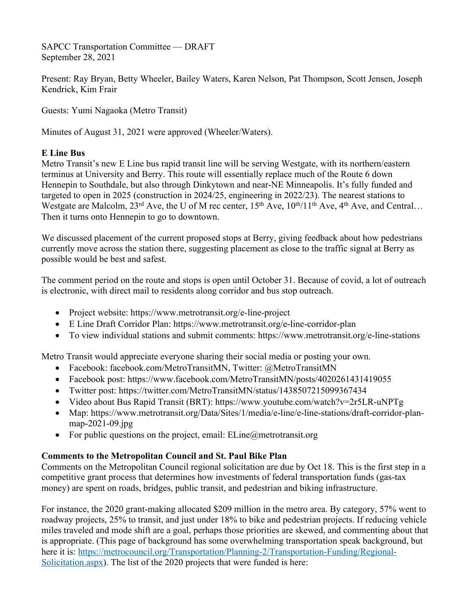SAPCC Transportation Committee — DRAFT September 28, 2021

Present: Ray Bryan, Betty Wheeler, Bailey Waters, Karen Nelson, Pat Thompson, Scott Jensen, Joseph Kendrick, Kim Frair

Guests: Yumi Nagaoka (Metro Transit)

Minutes of August 31, 2021 were approved (Wheeler/Waters).

# **E Line Bus**

Metro Transit's new E Line bus rapid transit line will be serving Westgate, with its northern/eastern terminus at University and Berry. This route will essentially replace much of the Route 6 down Hennepin to Southdale, but also through Dinkytown and near-NE Minneapolis. It's fully funded and targeted to open in 2025 (construction in 2024/25, engineering in 2022/23). The nearest stations to Westgate are Malcolm,  $23^{\text{rd}}$  Ave, the U of M rec center,  $15^{\text{th}}$  Ave,  $10^{\text{th}}/11^{\text{th}}$  Ave,  $4^{\text{th}}$  Ave, and Central… Then it turns onto Hennepin to go to downtown.

We discussed placement of the current proposed stops at Berry, giving feedback about how pedestrians currently move across the station there, suggesting placement as close to the traffic signal at Berry as possible would be best and safest.

The comment period on the route and stops is open until October 31. Because of covid, a lot of outreach is electronic, with direct mail to residents along corridor and bus stop outreach.

- Project website: https://www.metrotransit.org/e-line-project
- E Line Draft Corridor Plan: https://www.metrotransit.org/e-line-corridor-plan
- To view individual stations and submit comments: https://www.metrotransit.org/e-line-stations

Metro Transit would appreciate everyone sharing their social media or posting your own.

- Facebook: facebook.com/MetroTransitMN, Twitter: @MetroTransitMN
- Facebook post: https://www.facebook.com/MetroTransitMN/posts/4020261431419055
- Twitter post: https://twitter.com/MetroTransitMN/status/1438507215099367434
- Video about Bus Rapid Transit (BRT): https://www.youtube.com/watch?v=2r5LR-uNPTg
- Map: https://www.metrotransit.org/Data/Sites/1/media/e-line/e-line-stations/draft-corridor-planmap-2021-09.jpg
- For public questions on the project, email:  $ELine@$  metrotransit.org

# **Comments to the Metropolitan Council and St. Paul Bike Plan**

Comments on the Metropolitan Council regional solicitation are due by Oct 18. This is the first step in a competitive grant process that determines how investments of federal transportation funds (gas-tax money) are spent on roads, bridges, public transit, and pedestrian and biking infrastructure.

For instance, the 2020 grant-making allocated \$209 million in the metro area. By category, 57% went to roadway projects, 25% to transit, and just under 18% to bike and pedestrian projects. If reducing vehicle miles traveled and mode shift are a goal, perhaps those priorities are skewed, and commenting about that is appropriate. (This page of background has some overwhelming transportation speak background, but here it is: https://metrocouncil.org/Transportation/Planning-2/Transportation-Funding/Regional-Solicitation.aspx). The list of the 2020 projects that were funded is here: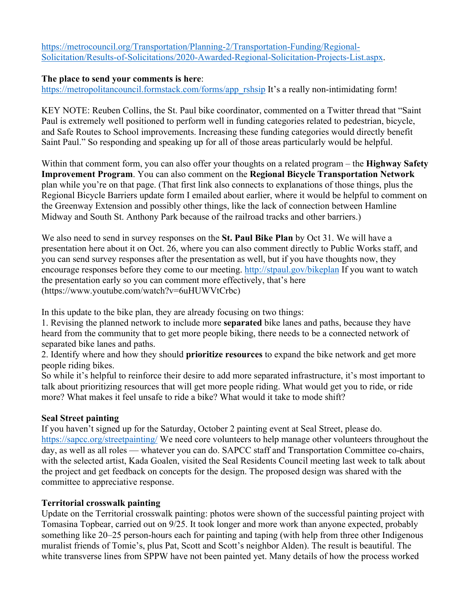https://metrocouncil.org/Transportation/Planning-2/Transportation-Funding/Regional-Solicitation/Results-of-Solicitations/2020-Awarded-Regional-Solicitation-Projects-List.aspx.

# **The place to send your comments is here**:

https://metropolitancouncil.formstack.com/forms/app\_rshsip It's a really non-intimidating form!

KEY NOTE: Reuben Collins, the St. Paul bike coordinator, commented on a Twitter thread that "Saint Paul is extremely well positioned to perform well in funding categories related to pedestrian, bicycle, and Safe Routes to School improvements. Increasing these funding categories would directly benefit Saint Paul." So responding and speaking up for all of those areas particularly would be helpful.

Within that comment form, you can also offer your thoughts on a related program – the **Highway Safety Improvement Program**. You can also comment on the **Regional Bicycle Transportation Network** plan while you're on that page. (That first link also connects to explanations of those things, plus the Regional Bicycle Barriers update form I emailed about earlier, where it would be helpful to comment on the Greenway Extension and possibly other things, like the lack of connection between Hamline Midway and South St. Anthony Park because of the railroad tracks and other barriers.)

We also need to send in survey responses on the **St. Paul Bike Plan** by Oct 31. We will have a presentation here about it on Oct. 26, where you can also comment directly to Public Works staff, and you can send survey responses after the presentation as well, but if you have thoughts now, they encourage responses before they come to our meeting. http://stpaul.gov/bikeplan If you want to watch the presentation early so you can comment more effectively, that's here (https://www.youtube.com/watch?v=6uHUWVtCrbc)

In this update to the bike plan, they are already focusing on two things:

1. Revising the planned network to include more **separated** bike lanes and paths, because they have heard from the community that to get more people biking, there needs to be a connected network of separated bike lanes and paths.

2. Identify where and how they should **prioritize resources** to expand the bike network and get more people riding bikes.

So while it's helpful to reinforce their desire to add more separated infrastructure, it's most important to talk about prioritizing resources that will get more people riding. What would get you to ride, or ride more? What makes it feel unsafe to ride a bike? What would it take to mode shift?

# **Seal Street painting**

If you haven't signed up for the Saturday, October 2 painting event at Seal Street, please do. https://sapcc.org/streetpainting/ We need core volunteers to help manage other volunteers throughout the day, as well as all roles — whatever you can do. SAPCC staff and Transportation Committee co-chairs, with the selected artist, Kada Goalen, visited the Seal Residents Council meeting last week to talk about the project and get feedback on concepts for the design. The proposed design was shared with the committee to appreciative response.

# **Territorial crosswalk painting**

Update on the Territorial crosswalk painting: photos were shown of the successful painting project with Tomasina Topbear, carried out on 9/25. It took longer and more work than anyone expected, probably something like 20–25 person-hours each for painting and taping (with help from three other Indigenous muralist friends of Tomie's, plus Pat, Scott and Scott's neighbor Alden). The result is beautiful. The white transverse lines from SPPW have not been painted yet. Many details of how the process worked